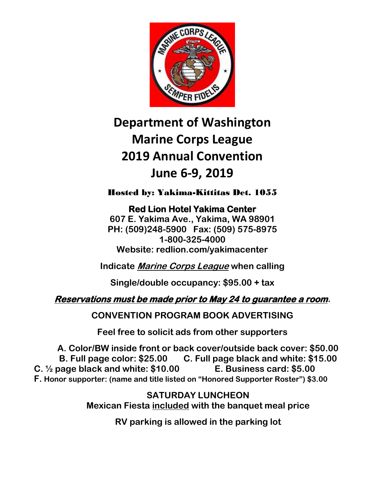

# **Department of Washington Marine Corps League 2019 Annual Convention June 6-9, 2019**

Hosted by: Yakima-Kittitas Det. 1055

**Red Lion Hotel Yakima Center 607 E. Yakima Ave., Yakima, WA 98901 PH: (509)248-5900 Fax: (509) 575-8975 1-800-325-4000 Website: redlion.com/yakimacenter**

**Indicate Marine Corps League when calling**

**Single/double occupancy: \$95.00 + tax**

## **Reservations must be made prior to May 24 to guarantee a room.**

**CONVENTION PROGRAM BOOK ADVERTISING**

**Feel free to solicit ads from other supporters**

**A. Color/BW inside front or back cover/outside back cover: \$50.00 B. Full page color: \$25.00 C. Full page black and white: \$15.00 C. ½ page black and white: \$10.00 E. Business card: \$5.00 F. Honor supporter: (name and title listed on "Honored Supporter Roster") \$3.00**

> **SATURDAY LUNCHEON Mexican Fiesta included with the banquet meal price**

> > **RV parking is allowed in the parking lot**